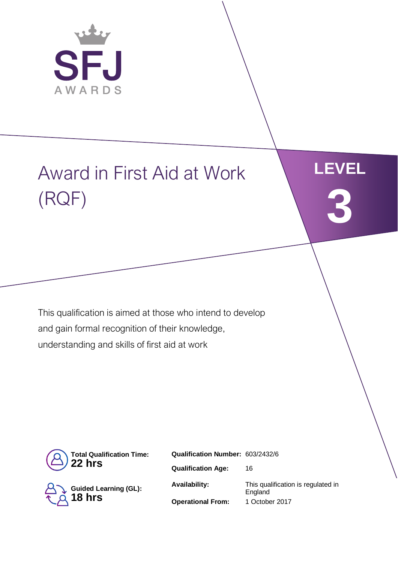

# Award in First Aid at Work (RQF)



This qualification is aimed at those who intend to develop and gain formal recognition of their knowledge, understanding and skills of first aid at work



**Guided Learning (GL): 18 hrs**

**Qualification Number:** 603/2432/6 **Qualification Age:** 16 **Availability:** This qualification is regulated in England **Operational From:** 1 October 2017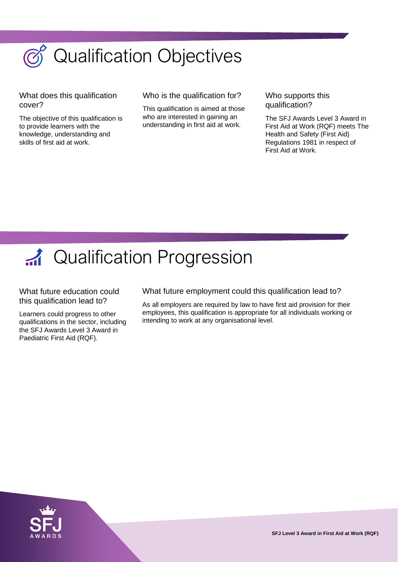

What does this qualification cover?

The objective of this qualification is to provide learners with the knowledge, understanding and skills of first aid at work.

Who is the qualification for?

This qualification is aimed at those who are interested in gaining an understanding in first aid at work.

Who supports this qualification?

The SFJ Awards Level 3 Award in First Aid at Work (RQF) meets The Health and Safety (First Aid) Regulations 1981 in respect of First Aid at Work.



What future education could this qualification lead to?

Learners could progress to other qualifications in the sector, including the SFJ Awards Level 3 Award in Paediatric First Aid (RQF).

What future employment could this qualification lead to?

As all employers are required by law to have first aid provision for their employees, this qualification is appropriate for all individuals working or intending to work at any organisational level.



**SFJ Level 3 Award in First Aid at Work (RQF)**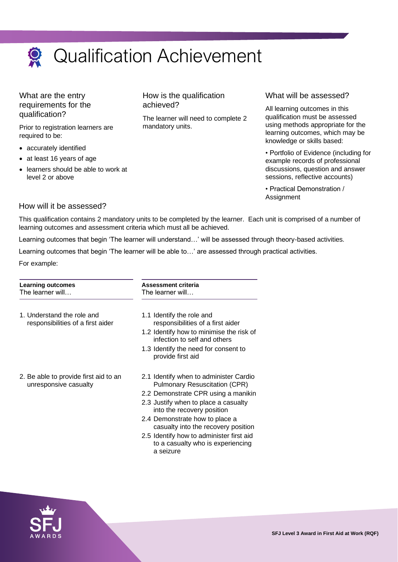

What are the entry requirements for the qualification?

Prior to registration learners are required to be:

- accurately identified
- at least 16 years of age
- learners should be able to work at level 2 or above

How is the qualification achieved?

The learner will need to complete 2 mandatory units.

## What will be assessed?

All learning outcomes in this qualification must be assessed using methods appropriate for the learning outcomes, which may be knowledge or skills based:

• Portfolio of Evidence (including for example records of professional discussions, question and answer sessions, reflective accounts)

• Practical Demonstration / **Assignment** 

## How will it be assessed?

This qualification contains 2 mandatory units to be completed by the learner. Each unit is comprised of a number of learning outcomes and assessment criteria which must all be achieved.

Learning outcomes that begin 'The learner will understand…' will be assessed through theory-based activities.

Learning outcomes that begin 'The learner will be able to…' are assessed through practical activities.

For example:

| <b>Learning outcomes</b><br>The learner will                    | <b>Assessment criteria</b><br>The learner will                                                                                                                                                                                                                                                                                                                     |  |  |
|-----------------------------------------------------------------|--------------------------------------------------------------------------------------------------------------------------------------------------------------------------------------------------------------------------------------------------------------------------------------------------------------------------------------------------------------------|--|--|
| 1. Understand the role and<br>responsibilities of a first aider | 1.1 Identify the role and<br>responsibilities of a first aider<br>1.2 Identify how to minimise the risk of<br>infection to self and others<br>1.3 Identify the need for consent to<br>provide first aid                                                                                                                                                            |  |  |
| 2. Be able to provide first aid to an<br>unresponsive casualty  | 2.1 Identify when to administer Cardio<br><b>Pulmonary Resuscitation (CPR)</b><br>2.2 Demonstrate CPR using a manikin<br>2.3 Justify when to place a casualty<br>into the recovery position<br>2.4 Demonstrate how to place a<br>casualty into the recovery position<br>2.5 Identify how to administer first aid<br>to a casualty who is experiencing<br>a seizure |  |  |

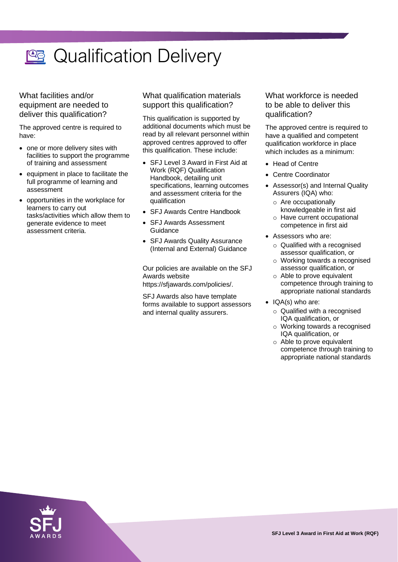

What facilities and/or equipment are needed to deliver this qualification?

The approved centre is required to have:

- one or more delivery sites with facilities to support the programme of training and assessment
- equipment in place to facilitate the full programme of learning and assessment
- opportunities in the workplace for learners to carry out tasks/activities which allow them to generate evidence to meet assessment criteria.

## What qualification materials support this qualification?

This qualification is supported by additional documents which must be read by all relevant personnel within approved centres approved to offer this qualification. These include:

- SFJ Level 3 Award in First Aid at Work (RQF) Qualification Handbook, detailing unit specifications, learning outcomes and assessment criteria for the qualification
- SFJ Awards Centre Handbook
- SFJ Awards Assessment **Guidance**
- SFJ Awards Quality Assurance (Internal and External) Guidance

Our policies are available on the SFJ Awards website https://sfjawards.com/policies/.

SFJ Awards also have template forms available to support assessors and internal quality assurers.

## What workforce is needed to be able to deliver this qualification?

The approved centre is required to have a qualified and competent qualification workforce in place which includes as a minimum:

- Head of Centre
- Centre Coordinator
- Assessor(s) and Internal Quality Assurers (IQA) who:
	- o Are occupationally knowledgeable in first aid
	- o Have current occupational competence in first aid
- Assessors who are:
	- $\circ$  Qualified with a recognised assessor qualification, or
	- o Working towards a recognised assessor qualification, or
	- o Able to prove equivalent competence through training to appropriate national standards
- IQA(s) who are:
	- o Qualified with a recognised IQA qualification, or
	- o Working towards a recognised IQA qualification, or
	- o Able to prove equivalent competence through training to appropriate national standards

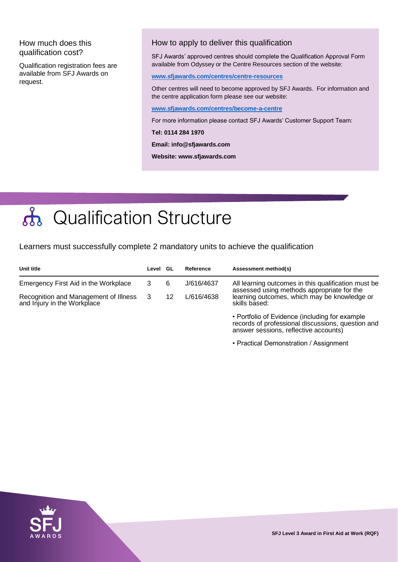## How much does this qualification cost?

Qualification registration fees are available from SFJ Awards on request.

## How to apply to deliver this qualification

SFJ Awards' approved centres should complete the Qualification Approval Form available from Odyssey or the Centre Resources section of the website:

### **[www.sfjawards.com/centres/centre-resources](http://www.sfjawards.com/centres/centre-resources)**

Other centres will need to become approved by SFJ Awards. For information and the centre application form please see our website:

### **[www.sfjawards.com/centres/become-a-centre](http://www.sfjawards.com/centres/become-a-centre)**

For more information please contact SFJ Awards' Customer Support Team:

### **Tel: 0114 284 1970**

**Email: info@sfjawards.com** 

**Website: www.sfjawards.com**

# nd Qualification Structure

Learners must successfully complete 2 mandatory units to achieve the qualification

| Unit title                                                           | Level GL |    | Reference  | Assessment method(s)                                                                                                                                               |
|----------------------------------------------------------------------|----------|----|------------|--------------------------------------------------------------------------------------------------------------------------------------------------------------------|
| Emergency First Aid in the Workplace                                 | 3        | 6  | J/616/4637 | All learning outcomes in this qualification must be<br>assessed using methods appropriate for the<br>learning outcomes, which may be knowledge or<br>skills based: |
| Recognition and Management of Illness<br>and Injury in the Workplace | -3       | 12 | L/616/4638 |                                                                                                                                                                    |
|                                                                      |          |    |            | • Portfolio of Evidence (including for example<br>records of professional discussions, question and<br>answer sessions, reflective accounts)                       |

• Practical Demonstration / Assignment